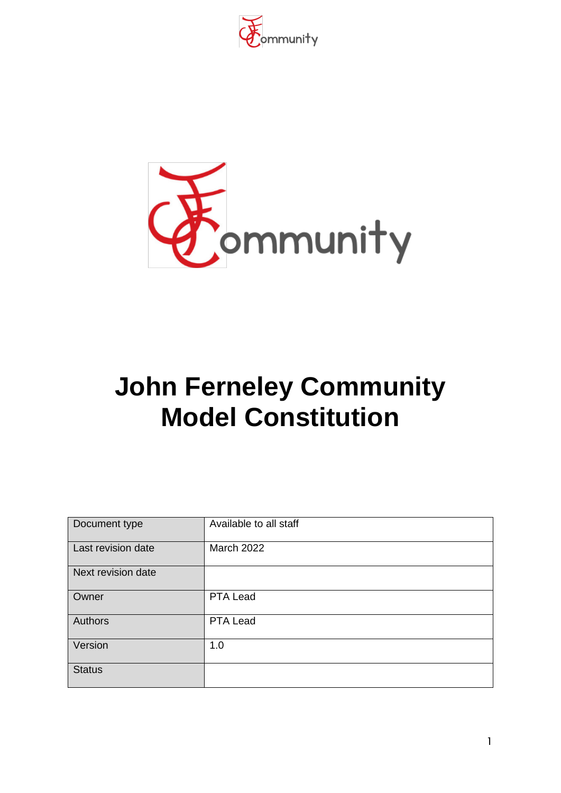



# **John Ferneley Community Model Constitution**

| Document type      | Available to all staff |
|--------------------|------------------------|
| Last revision date | <b>March 2022</b>      |
| Next revision date |                        |
| Owner              | PTA Lead               |
| Authors            | PTA Lead               |
| Version            | 1.0                    |
| <b>Status</b>      |                        |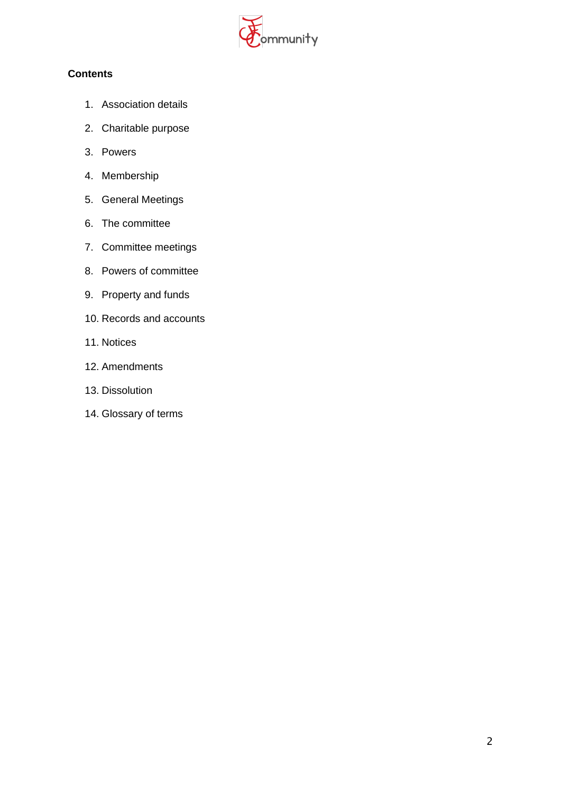

## **Contents**

- 1. Association details
- 2. Charitable purpose
- 3. Powers
- 4. Membership
- 5. General Meetings
- 6. The committee
- 7. Committee meetings
- 8. Powers of committee
- 9. Property and funds
- 10. Records and accounts
- 11. Notices
- 12. Amendments
- 13. Dissolution
- 14. Glossary of terms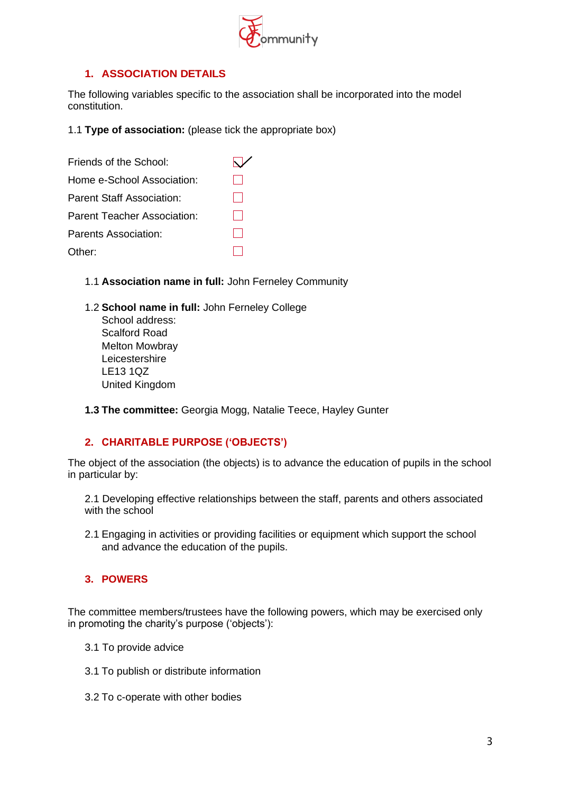

## **1. ASSOCIATION DETAILS**

The following variables specific to the association shall be incorporated into the model constitution.

1.1 **Type of association:** (please tick the appropriate box)

| Friends of the School:           |  |
|----------------------------------|--|
| Home e-School Association:       |  |
| <b>Parent Staff Association:</b> |  |
| Parent Teacher Association:      |  |
| Parents Association:             |  |
| Other:                           |  |

- 1.1 **Association name in full:** John Ferneley Community
- 1.2 **School name in full:** John Ferneley College School address: Scalford Road Melton Mowbray Leicestershire LE13 1QZ United Kingdom
- **1.3 The committee:** Georgia Mogg, Natalie Teece, Hayley Gunter

#### **2. CHARITABLE PURPOSE ('OBJECTS')**

The object of the association (the objects) is to advance the education of pupils in the school in particular by:

2.1 Developing effective relationships between the staff, parents and others associated with the school

2.1 Engaging in activities or providing facilities or equipment which support the school and advance the education of the pupils.

#### **3. POWERS**

The committee members/trustees have the following powers, which may be exercised only in promoting the charity's purpose ('objects'):

- 3.1 To provide advice
- 3.1 To publish or distribute information
- 3.2 To c-operate with other bodies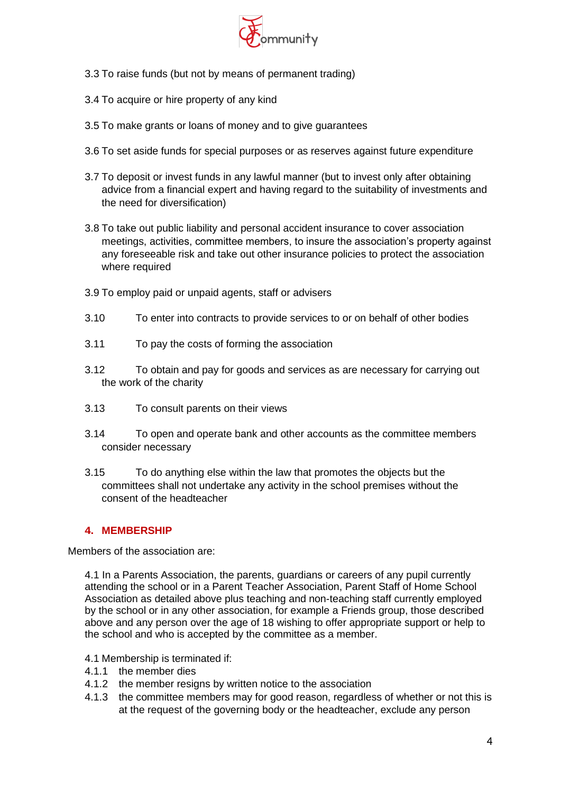

- 3.3 To raise funds (but not by means of permanent trading)
- 3.4 To acquire or hire property of any kind
- 3.5 To make grants or loans of money and to give guarantees
- 3.6 To set aside funds for special purposes or as reserves against future expenditure
- 3.7 To deposit or invest funds in any lawful manner (but to invest only after obtaining advice from a financial expert and having regard to the suitability of investments and the need for diversification)
- 3.8 To take out public liability and personal accident insurance to cover association meetings, activities, committee members, to insure the association's property against any foreseeable risk and take out other insurance policies to protect the association where required
- 3.9 To employ paid or unpaid agents, staff or advisers
- 3.10 To enter into contracts to provide services to or on behalf of other bodies
- 3.11 To pay the costs of forming the association
- 3.12 To obtain and pay for goods and services as are necessary for carrying out the work of the charity
- 3.13 To consult parents on their views
- 3.14 To open and operate bank and other accounts as the committee members consider necessary
- 3.15 To do anything else within the law that promotes the objects but the committees shall not undertake any activity in the school premises without the consent of the headteacher

## **4. MEMBERSHIP**

Members of the association are:

4.1 In a Parents Association, the parents, guardians or careers of any pupil currently attending the school or in a Parent Teacher Association, Parent Staff of Home School Association as detailed above plus teaching and non-teaching staff currently employed by the school or in any other association, for example a Friends group, those described above and any person over the age of 18 wishing to offer appropriate support or help to the school and who is accepted by the committee as a member.

- 4.1 Membership is terminated if:
- 4.1.1 the member dies
- 4.1.2 the member resigns by written notice to the association
- 4.1.3 the committee members may for good reason, regardless of whether or not this is at the request of the governing body or the headteacher, exclude any person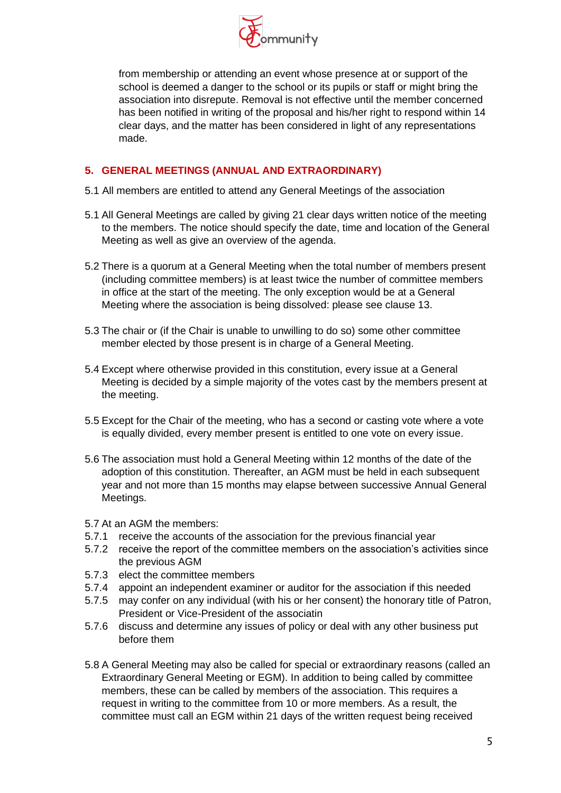

from membership or attending an event whose presence at or support of the school is deemed a danger to the school or its pupils or staff or might bring the association into disrepute. Removal is not effective until the member concerned has been notified in writing of the proposal and his/her right to respond within 14 clear days, and the matter has been considered in light of any representations made.

# **5. GENERAL MEETINGS (ANNUAL AND EXTRAORDINARY)**

- 5.1 All members are entitled to attend any General Meetings of the association
- 5.1 All General Meetings are called by giving 21 clear days written notice of the meeting to the members. The notice should specify the date, time and location of the General Meeting as well as give an overview of the agenda.
- 5.2 There is a quorum at a General Meeting when the total number of members present (including committee members) is at least twice the number of committee members in office at the start of the meeting. The only exception would be at a General Meeting where the association is being dissolved: please see clause 13.
- 5.3 The chair or (if the Chair is unable to unwilling to do so) some other committee member elected by those present is in charge of a General Meeting.
- 5.4 Except where otherwise provided in this constitution, every issue at a General Meeting is decided by a simple majority of the votes cast by the members present at the meeting.
- 5.5 Except for the Chair of the meeting, who has a second or casting vote where a vote is equally divided, every member present is entitled to one vote on every issue.
- 5.6 The association must hold a General Meeting within 12 months of the date of the adoption of this constitution. Thereafter, an AGM must be held in each subsequent year and not more than 15 months may elapse between successive Annual General Meetings.
- 5.7 At an AGM the members:
- 5.7.1 receive the accounts of the association for the previous financial year
- 5.7.2 receive the report of the committee members on the association's activities since the previous AGM
- 5.7.3 elect the committee members
- 5.7.4 appoint an independent examiner or auditor for the association if this needed
- 5.7.5 may confer on any individual (with his or her consent) the honorary title of Patron, President or Vice-President of the associatin
- 5.7.6 discuss and determine any issues of policy or deal with any other business put before them
- 5.8 A General Meeting may also be called for special or extraordinary reasons (called an Extraordinary General Meeting or EGM). In addition to being called by committee members, these can be called by members of the association. This requires a request in writing to the committee from 10 or more members. As a result, the committee must call an EGM within 21 days of the written request being received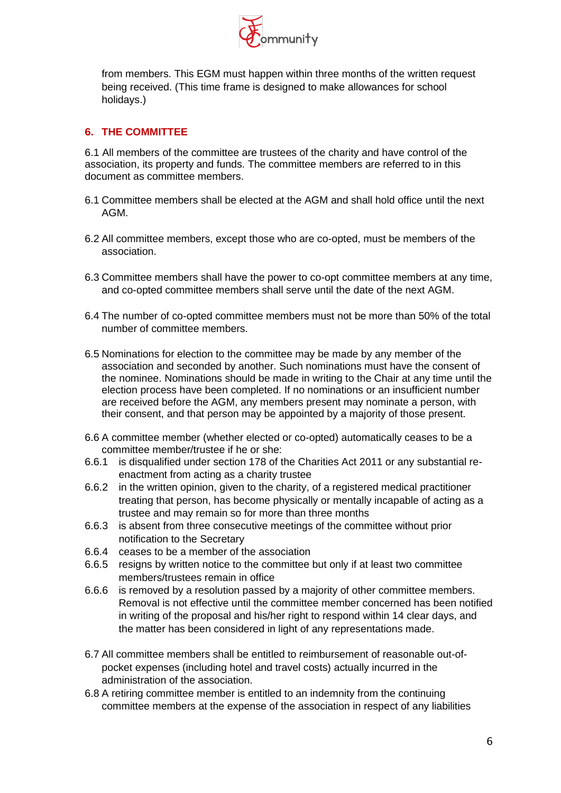

from members. This EGM must happen within three months of the written request being received. (This time frame is designed to make allowances for school holidays.)

#### **6. THE COMMITTEE**

6.1 All members of the committee are trustees of the charity and have control of the association, its property and funds. The committee members are referred to in this document as committee members.

- 6.1 Committee members shall be elected at the AGM and shall hold office until the next AGM.
- 6.2 All committee members, except those who are co-opted, must be members of the association.
- 6.3 Committee members shall have the power to co-opt committee members at any time, and co-opted committee members shall serve until the date of the next AGM.
- 6.4 The number of co-opted committee members must not be more than 50% of the total number of committee members.
- 6.5 Nominations for election to the committee may be made by any member of the association and seconded by another. Such nominations must have the consent of the nominee. Nominations should be made in writing to the Chair at any time until the election process have been completed. If no nominations or an insufficient number are received before the AGM, any members present may nominate a person, with their consent, and that person may be appointed by a majority of those present.
- 6.6 A committee member (whether elected or co-opted) automatically ceases to be a committee member/trustee if he or she:
- 6.6.1 is disqualified under section 178 of the Charities Act 2011 or any substantial reenactment from acting as a charity trustee
- 6.6.2 in the written opinion, given to the charity, of a registered medical practitioner treating that person, has become physically or mentally incapable of acting as a trustee and may remain so for more than three months
- 6.6.3 is absent from three consecutive meetings of the committee without prior notification to the Secretary
- 6.6.4 ceases to be a member of the association
- 6.6.5 resigns by written notice to the committee but only if at least two committee members/trustees remain in office
- 6.6.6 is removed by a resolution passed by a majority of other committee members. Removal is not effective until the committee member concerned has been notified in writing of the proposal and his/her right to respond within 14 clear days, and the matter has been considered in light of any representations made.
- 6.7 All committee members shall be entitled to reimbursement of reasonable out-ofpocket expenses (including hotel and travel costs) actually incurred in the administration of the association.
- 6.8 A retiring committee member is entitled to an indemnity from the continuing committee members at the expense of the association in respect of any liabilities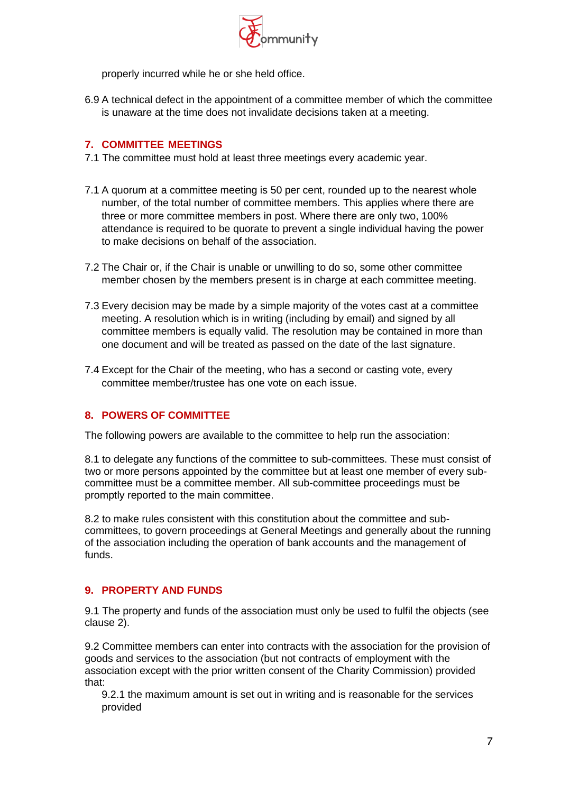

properly incurred while he or she held office.

6.9 A technical defect in the appointment of a committee member of which the committee is unaware at the time does not invalidate decisions taken at a meeting.

#### **7. COMMITTEE MEETINGS**

- 7.1 The committee must hold at least three meetings every academic year.
- 7.1 A quorum at a committee meeting is 50 per cent, rounded up to the nearest whole number, of the total number of committee members. This applies where there are three or more committee members in post. Where there are only two, 100% attendance is required to be quorate to prevent a single individual having the power to make decisions on behalf of the association.
- 7.2 The Chair or, if the Chair is unable or unwilling to do so, some other committee member chosen by the members present is in charge at each committee meeting.
- 7.3 Every decision may be made by a simple majority of the votes cast at a committee meeting. A resolution which is in writing (including by email) and signed by all committee members is equally valid. The resolution may be contained in more than one document and will be treated as passed on the date of the last signature.
- 7.4 Except for the Chair of the meeting, who has a second or casting vote, every committee member/trustee has one vote on each issue.

#### **8. POWERS OF COMMITTEE**

The following powers are available to the committee to help run the association:

8.1 to delegate any functions of the committee to sub-committees. These must consist of two or more persons appointed by the committee but at least one member of every subcommittee must be a committee member. All sub-committee proceedings must be promptly reported to the main committee.

8.2 to make rules consistent with this constitution about the committee and subcommittees, to govern proceedings at General Meetings and generally about the running of the association including the operation of bank accounts and the management of funds.

#### **9. PROPERTY AND FUNDS**

9.1 The property and funds of the association must only be used to fulfil the objects (see clause 2).

9.2 Committee members can enter into contracts with the association for the provision of goods and services to the association (but not contracts of employment with the association except with the prior written consent of the Charity Commission) provided that:

9.2.1 the maximum amount is set out in writing and is reasonable for the services provided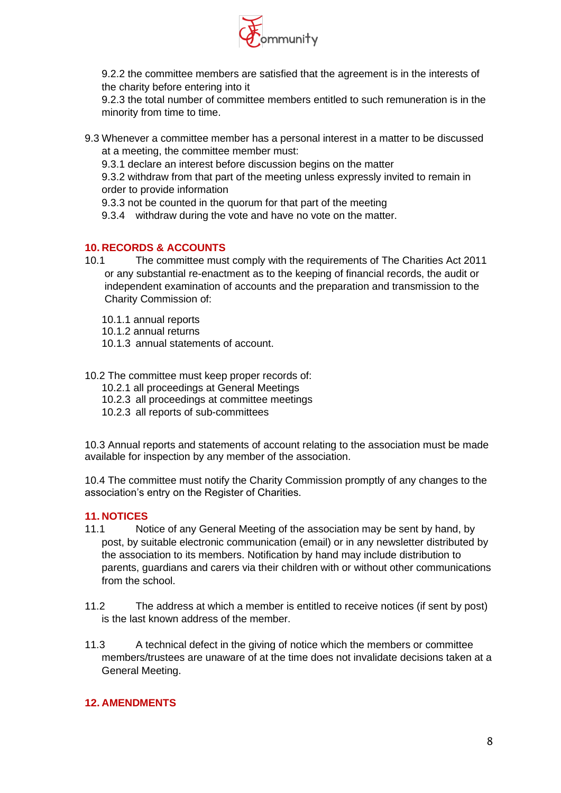

9.2.2 the committee members are satisfied that the agreement is in the interests of the charity before entering into it

9.2.3 the total number of committee members entitled to such remuneration is in the minority from time to time.

9.3 Whenever a committee member has a personal interest in a matter to be discussed at a meeting, the committee member must:

9.3.1 declare an interest before discussion begins on the matter

9.3.2 withdraw from that part of the meeting unless expressly invited to remain in order to provide information

- 9.3.3 not be counted in the quorum for that part of the meeting
- 9.3.4 withdraw during the vote and have no vote on the matter.

#### **10. RECORDS & ACCOUNTS**

- 10.1 The committee must comply with the requirements of The Charities Act 2011 or any substantial re-enactment as to the keeping of financial records, the audit or independent examination of accounts and the preparation and transmission to the Charity Commission of:
	- 10.1.1 annual reports
	- 10.1.2 annual returns
	- 10.1.3 annual statements of account.

10.2 The committee must keep proper records of:

- 10.2.1 all proceedings at General Meetings
- 10.2.3 all proceedings at committee meetings
- 10.2.3 all reports of sub-committees

10.3 Annual reports and statements of account relating to the association must be made available for inspection by any member of the association.

10.4 The committee must notify the Charity Commission promptly of any changes to the association's entry on the Register of Charities.

#### **11. NOTICES**

- 11.1 Notice of any General Meeting of the association may be sent by hand, by post, by suitable electronic communication (email) or in any newsletter distributed by the association to its members. Notification by hand may include distribution to parents, guardians and carers via their children with or without other communications from the school.
- 11.2 The address at which a member is entitled to receive notices (if sent by post) is the last known address of the member.
- 11.3 A technical defect in the giving of notice which the members or committee members/trustees are unaware of at the time does not invalidate decisions taken at a General Meeting.

## **12. AMENDMENTS**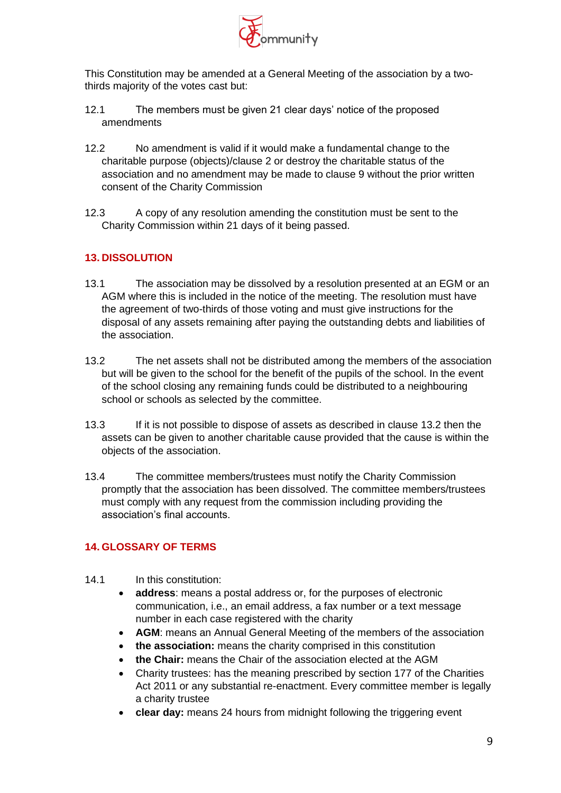

This Constitution may be amended at a General Meeting of the association by a twothirds majority of the votes cast but:

- 12.1 The members must be given 21 clear days' notice of the proposed amendments
- 12.2 No amendment is valid if it would make a fundamental change to the charitable purpose (objects)/clause 2 or destroy the charitable status of the association and no amendment may be made to clause 9 without the prior written consent of the Charity Commission
- 12.3 A copy of any resolution amending the constitution must be sent to the Charity Commission within 21 days of it being passed.

# **13. DISSOLUTION**

- 13.1 The association may be dissolved by a resolution presented at an EGM or an AGM where this is included in the notice of the meeting. The resolution must have the agreement of two-thirds of those voting and must give instructions for the disposal of any assets remaining after paying the outstanding debts and liabilities of the association.
- 13.2 The net assets shall not be distributed among the members of the association but will be given to the school for the benefit of the pupils of the school. In the event of the school closing any remaining funds could be distributed to a neighbouring school or schools as selected by the committee.
- 13.3 If it is not possible to dispose of assets as described in clause 13.2 then the assets can be given to another charitable cause provided that the cause is within the objects of the association.
- 13.4 The committee members/trustees must notify the Charity Commission promptly that the association has been dissolved. The committee members/trustees must comply with any request from the commission including providing the association's final accounts.

## **14. GLOSSARY OF TERMS**

- 14.1 In this constitution:
	- **address**: means a postal address or, for the purposes of electronic communication, i.e., an email address, a fax number or a text message number in each case registered with the charity
	- **AGM**: means an Annual General Meeting of the members of the association
	- **the association:** means the charity comprised in this constitution
	- **the Chair:** means the Chair of the association elected at the AGM
	- Charity trustees: has the meaning prescribed by section 177 of the Charities Act 2011 or any substantial re-enactment. Every committee member is legally a charity trustee
	- **clear day:** means 24 hours from midnight following the triggering event